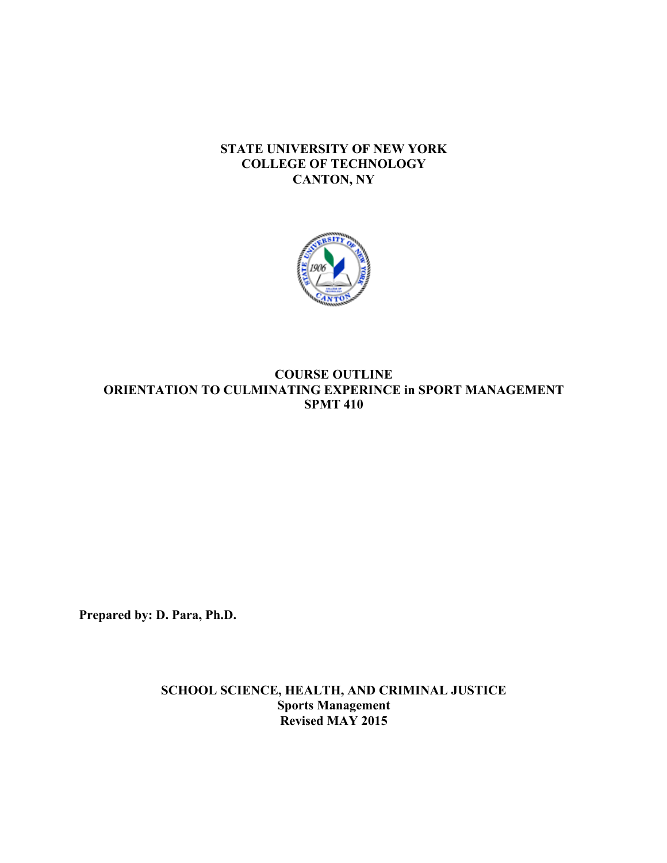## **STATE UNIVERSITY OF NEW YORK COLLEGE OF TECHNOLOGY CANTON, NY**



## **COURSE OUTLINE ORIENTATION TO CULMINATING EXPERINCE in SPORT MANAGEMENT SPMT 410**

**Prepared by: D. Para, Ph.D.** 

 **Revised MAY 2015 SCHOOL SCIENCE, HEALTH, AND CRIMINAL JUSTICE Sports Management**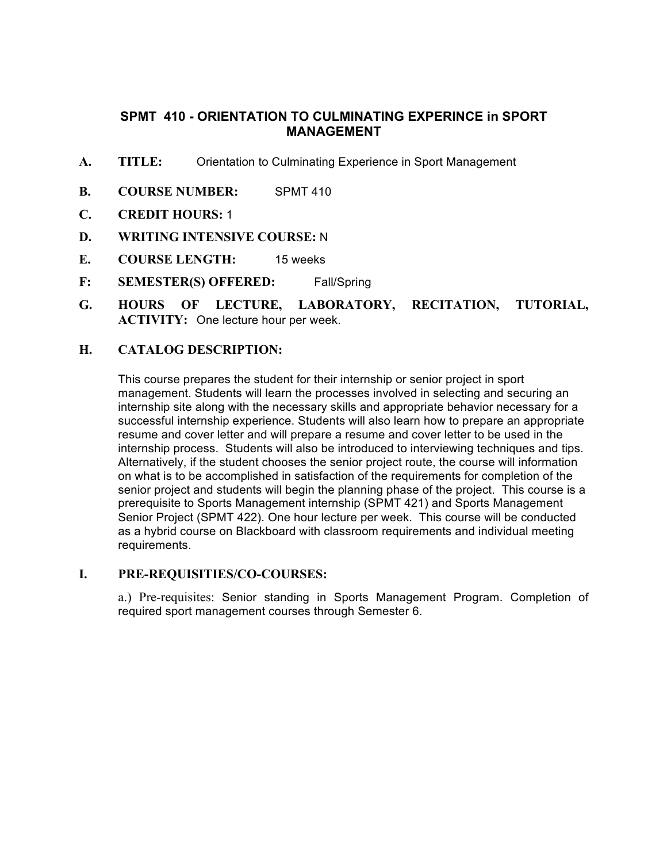## **SPMT 410 - ORIENTATION TO CULMINATING EXPERINCE in SPORT MANAGEMENT**

- **A. TITLE:** Orientation to Culminating Experience in Sport Management
- **B. COURSE NUMBER:** SPMT 410
- **C. CREDIT HOURS:** 1
- **D. WRITING INTENSIVE COURSE:** N
- **E. COURSE LENGTH:** 15 weeks
- **F: SEMESTER(S) OFFERED:** Fall/Spring
- **G.** HOURS OF LECTURE, LABORATORY, RECITATION, TUTORIAL, ACTIVITY: One lecture hour per week.<br> **H.** CATALOG DESCRIPTION: **ACTIVITY:** One lecture hour per week.

### **CATALOG DESCRIPTION:**

 This course prepares the student for their internship or senior project in sport management. Students will learn the processes involved in selecting and securing an internship site along with the necessary skills and appropriate behavior necessary for a successful internship experience. Students will also learn how to prepare an appropriate resume and cover letter and will prepare a resume and cover letter to be used in the internship process. Students will also be introduced to interviewing techniques and tips. Alternatively, if the student chooses the senior project route, the course will information on what is to be accomplished in satisfaction of the requirements for completion of the senior project and students will begin the planning phase of the project. This course is a prerequisite to Sports Management internship (SPMT 421) and Sports Management Senior Project (SPMT 422). One hour lecture per week. This course will be conducted as a hybrid course on Blackboard with classroom requirements and individual meeting requirements.

### **I. PRE-REQUISITIES/CO-COURSES:**

 a.) Pre-requisites: Senior standing in Sports Management Program. Completion of required sport management courses through Semester 6.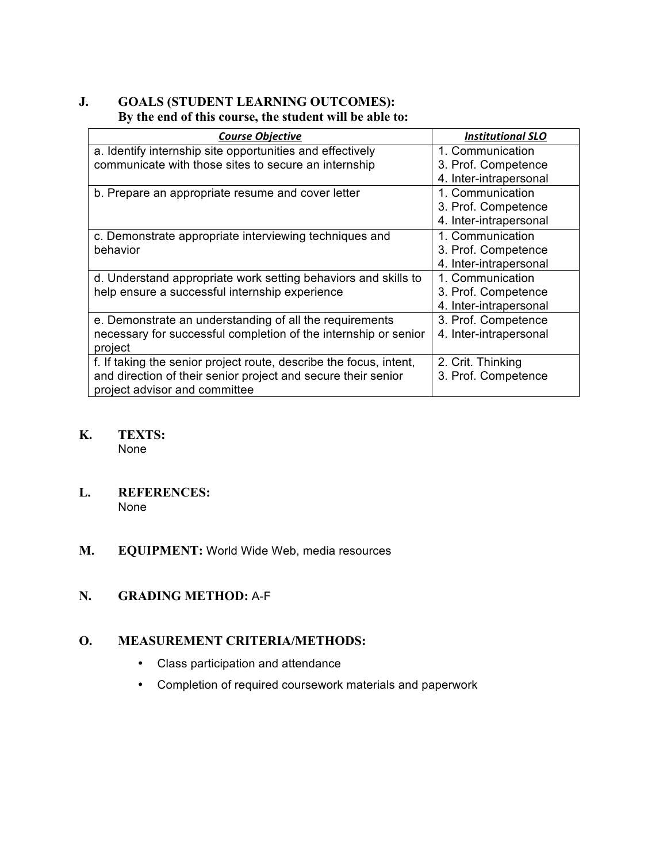## **J. GOALS (STUDENT LEARNING OUTCOMES): By the end of this course, the student will be able to:**

| <b>Course Objective</b>                                            | <b>Institutional SLO</b> |
|--------------------------------------------------------------------|--------------------------|
| a. Identify internship site opportunities and effectively          | 1. Communication         |
| communicate with those sites to secure an internship               | 3. Prof. Competence      |
|                                                                    | 4. Inter-intrapersonal   |
| b. Prepare an appropriate resume and cover letter                  | 1. Communication         |
|                                                                    | 3. Prof. Competence      |
|                                                                    | 4. Inter-intrapersonal   |
| c. Demonstrate appropriate interviewing techniques and             | 1. Communication         |
| behavior                                                           | 3. Prof. Competence      |
|                                                                    | 4. Inter-intrapersonal   |
| d. Understand appropriate work setting behaviors and skills to     | 1. Communication         |
| help ensure a successful internship experience                     | 3. Prof. Competence      |
|                                                                    | 4. Inter-intrapersonal   |
| e. Demonstrate an understanding of all the requirements            | 3. Prof. Competence      |
| necessary for successful completion of the internship or senior    | 4. Inter-intrapersonal   |
| project                                                            |                          |
| f. If taking the senior project route, describe the focus, intent, | 2. Crit. Thinking        |
| and direction of their senior project and secure their senior      | 3. Prof. Competence      |
| project advisor and committee                                      |                          |

#### **K. TEXTS:**  None

#### **L. REFERENCES:**  None

**M. EQUIPMENT:** World Wide Web, media resources

# **N. GRADING METHOD:** A-F

# **O. MEASUREMENT CRITERIA/METHODS:**

- Class participation and attendance
- Completion of required coursework materials and paperwork